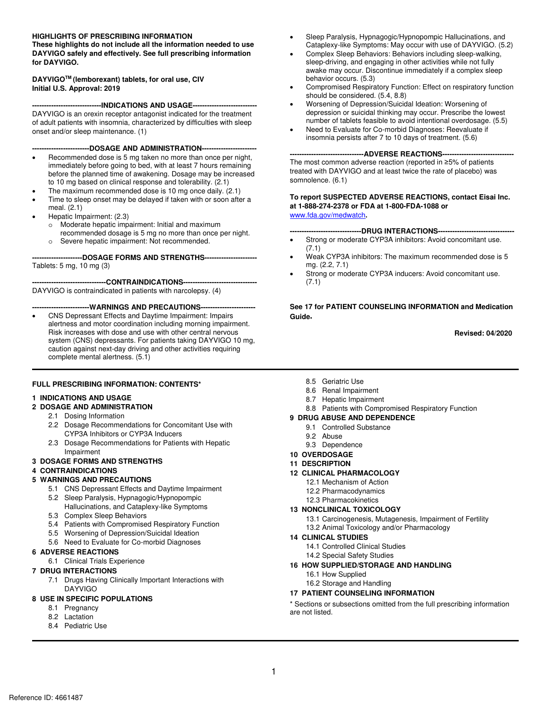#### **HIGHLIGHTS OF PRESCRIBING INFORMATION**

 **DAYVIGO safely and effectively. See full prescribing information These highlights do not include all the information needed to use for DAYVIGO.** 

#### **DAYVIGOTM (lemborexant) tablets, for oral use, CIV Initial U.S. Approval: 2019**

 **-----------------------------INDICATIONS AND USAGE---------------------------**

 onset and/or sleep maintenance. (1) DAYVIGO is an orexin receptor antagonist indicated for the treatment of adult patients with insomnia, characterized by difficulties with sleep

**------------------------DOSAGE AND ADMINISTRATION-----------------------**

- Recommended dose is 5 mg taken no more than once per night, immediately before going to bed, with at least 7 hours remaining before the planned time of awakening. Dosage may be increased to 10 mg based on clinical response and tolerability. (2.1)
- The maximum recommended dose is 10 mg once daily. (2.1)
- Time to sleep onset may be delayed if taken with or soon after a meal. (2.1)
- Hepatic Impairment: (2.3)
	- o Moderate hepatic impairment: Initial and maximum recommended dosage is 5 mg no more than once per night.
	- o Severe hepatic impairment: Not recommended.

 **---------------------DOSAGE FORMS AND STRENGTHS----------------------** Tablets: 5 mg, 10 mg (3)

 DAYVIGO is contraindicated in patients with narcolepsy. (4) **-------------------------------CONTRAINDICATIONS-------------------------------**

#### **------------------------WARNINGS AND PRECAUTIONS-----------------------**

• CNS Depressant Effects and Daytime Impairment: Impairs alertness and motor coordination including morning impairment. Risk increases with dose and use with other central nervous system (CNS) depressants. For patients taking DAYVIGO 10 mg, caution against next-day driving and other activities requiring complete mental alertness. (5.1)

#### **FULL PRESCRIBING INFORMATION: CONTENTS\***

#### **1 INDICATIONS AND USAGE**

#### **2 DOSAGE AND ADMINISTRATION**

- 2.1 Dosing Information
- 2.2 Dosage Recommendations for Concomitant Use with CYP3A Inhibitors or CYP3A Inducers
- 2.3 Dosage Recommendations for Patients with Hepatic Impairment

#### **4 CONTRAINDICATIONS**

#### **5 WARNINGS AND PRECAUTIONS**

- 5.1 CNS Depressant Effects and Daytime Impairment
- 5.2 Sleep Paralysis, Hypnagogic/Hypnopompic
	- Hallucinations, and Cataplexy-like Symptoms
- 5.3 Complex Sleep Behaviors
- 5.4 Patients with Compromised Respiratory Function
- 5.5 Worsening of Depression/Suicidal Ideation
- 5.6 Need to Evaluate for Co-morbid Diagnoses

#### **6 ADVERSE REACTIONS**

6.1 Clinical Trials Experience

#### **7 DRUG INTERACTIONS**

7.1 Drugs Having Clinically Important Interactions with DAYVIGO

#### **8 USE IN SPECIFIC POPULATIONS**

- 8.1 Pregnancy
- 8.2 Lactation
- 8.4 Pediatric Use
- Cataplexy-like Symptoms: May occur with use of DAYVIGO. (5.2) • Sleep Paralysis, Hypnagogic/Hypnopompic Hallucinations, and
- Complex Sleep Behaviors: Behaviors including sleep-walking, sleep-driving, and engaging in other activities while not fully awake may occur. Discontinue immediately if a complex sleep behavior occurs. (5.3)
- Compromised Respiratory Function: Effect on respiratory function should be considered. (5.4, 8.8)
- Worsening of Depression/Suicidal Ideation: Worsening of depression or suicidal thinking may occur. Prescribe the lowest number of tablets feasible to avoid intentional overdosage. (5.5)
- insomnia persists after 7 to 10 days of treatment. (5.6) • Need to Evaluate for Co-morbid Diagnoses: Reevaluate if

**-------------------------------ADVERSE REACTIONS------------------------------**

 treated with DAYVIGO and at least twice the rate of placebo) was The most common adverse reaction (reported in ≥5% of patients somnolence. (6.1)

#### **at 1-888-274-2378 or FDA at 1-800-FDA-1088 or To report SUSPECTED ADVERSE REACTIONS, contact Eisai Inc.**  [www.fda.gov/medwatch](http://www.fda.gov/medwatch)**.**

**------------------------------DRUG INTERACTIONS--------------------------------**

- Strong or moderate CYP3A inhibitors: Avoid concomitant use. (7.1)
- Weak CYP3A inhibitors: The maximum recommended dose is 5 mg. (2.2, 7.1)
- Strong or moderate CYP3A inducers: Avoid concomitant use. (7.1)

**See 17 for PATIENT COUNSELING INFORMATION and Medication Guide.** 

**Revised: 04/2020** 

- 8.5 Geriatric Use
- 8.6 Renal Impairment
- 8.7 Hepatic Impairment
- 8.8 Patients with Compromised Respiratory Function

#### **9 DRUG ABUSE AND DEPENDENCE**

- 9.1 Controlled Substance
- 9.2 Abuse
- 9.3 Dependence
- **10 OVERDOSAGE**

#### **11 DESCRIPTION**

- **12 CLINICAL PHARMACOLOGY** 
	- 12.1 Mechanism of Action
	- 12.2 Pharmacodynamics
	- 12.3 Pharmacokinetics

#### **13 NONCLINICAL TOXICOLOGY**

- 13.1 Carcinogenesis, Mutagenesis, Impairment of Fertility
- 13.2 Animal Toxicology and/or Pharmacology

#### **14 CLINICAL STUDIES**

- 14.1 Controlled Clinical Studies
- 14.2 Special Safety Studies
- **16 HOW SUPPLIED/STORAGE AND HANDLING** 
	- 16.1 How Supplied
	- 16.2 Storage and Handling

#### **17 PATIENT COUNSELING INFORMATION**

**Example 22**<br> **Example 23**<br> **Example 3**<br> **Example 3**<br> **Example 3**<br> **Example 3**<br> **Example 3**<br> **Example 3**<br> **Example 3**<br> **Example 3**<br> **Example 3**<br> **Example 3**<br> **Example 3**<br> **Example 3**<br> **Example 3**<br> **Example 3**<br> **Example 3**<br> Proposed Having Clinically Important Interactions with<br>
DAYVIGO<br> **EXALUST DAYVIGO**<br> **EXALUST DAYVIGO**<br> **EXALUST DAYVIGO**<br> **EXALUST DAYS AND ATIONS TOOUNSELING INFORMATION**<br> **EXALUST DATELY COUNSELING INFORMATION**<br> **EXALUST** \* Sections or subsections omitted from the full prescribing information are not listed.

# **3 DOSAGE FORMS AND STRENGTHS**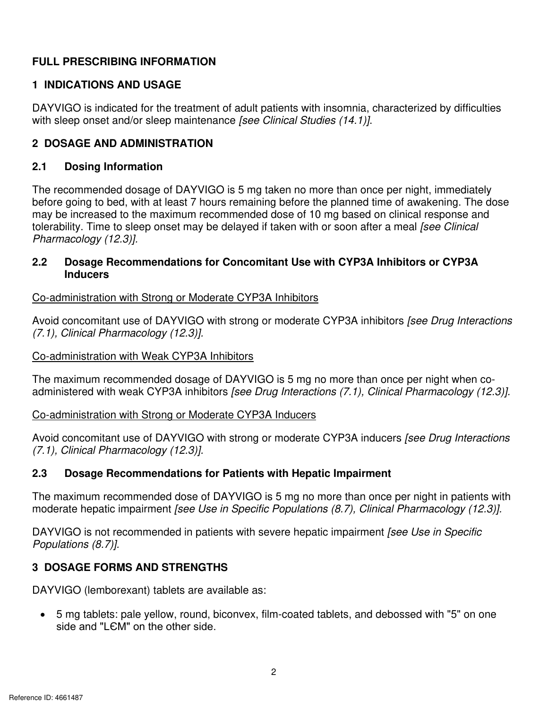# **FULL PRESCRIBING INFORMATION**

# **1 INDICATIONS AND USAGE**

DAYVIGO is indicated for the treatment of adult patients with insomnia, characterized by difficulties with sleep onset and/or sleep maintenance *[see Clinical Studies (14.1)]*.

# **2 DOSAGE AND ADMINISTRATION**

#### $2.1$ **2.1 Dosing Information**

The recommended dosage of DAYVIGO is 5 mg taken no more than once per night, immediately before going to bed, with at least 7 hours remaining before the planned time of awakening. The dose may be increased to the maximum recommended dose of 10 mg based on clinical response and tolerability. Time to sleep onset may be delayed if taken with or soon after a meal *[see Clinical Pharmacology (12.3)].* 

# **2.2 Dosage Recommendations for Concomitant Use with CYP3A Inhibitors or CYP3A Inducers**

# Co-administration with Strong or Moderate CYP3A Inhibitors

**2.2 Dosage Recommendations for Concomitant Use with CYP3A Inhibitors or CYP3A**<br> **Co-administration with Strong or Moderate CYP3A Inhibitors**<br> **Co-administration with Strong or Moderate CYP3A Inhibitors**<br> **Avoid concomitan** Avoid concomitant use of DAYVIGO with strong or moderate CYP3A inhibitors *[see Drug Interactions (7.1), Clinical Pharmacology (12.3)].* 

## Co-administration with Weak CYP3A Inhibitors

The maximum recommended dosage of DAYVIGO is 5 mg no more than once per night when coadministered with weak CYP3A inhibitors *[see Drug Interactions (7.1), Clinical Pharmacology (12.3)].* 

#### Co-administration with Strong or Moderate CYP3A Inducers

Avoid concomitant use of DAYVIGO with strong or moderate CYP3A inducers *[see Drug Interactions (7.1), Clinical Pharmacology (12.3)].* 

# **2.3 Dosage Recommendations for Patients with Hepatic Impairment**

The maximum recommended dose of DAYVIGO is 5 mg no more than once per night in patients with moderate hepatic impairment *[see Use in Specific Populations (8.7), Clinical Pharmacology (12.3)].* 

DAYVIGO is not recommended in patients with severe hepatic impairment *[see Use in Specific Populations (8.7)].* 

# **3 DOSAGE FORMS AND STRENGTHS**

DAYVIGO (lemborexant) tablets are available as:

**•** 5 mg tablets: pale yellow, round, biconvex, film-coated tablets, and debossed with "5" on one side and "LEM" on the other side.<br>
2<br>
2 side and "LЄM" on the other side. • 5 mg tablets: pale yellow, round, biconvex, film-coated tablets, and debossed with "5" on one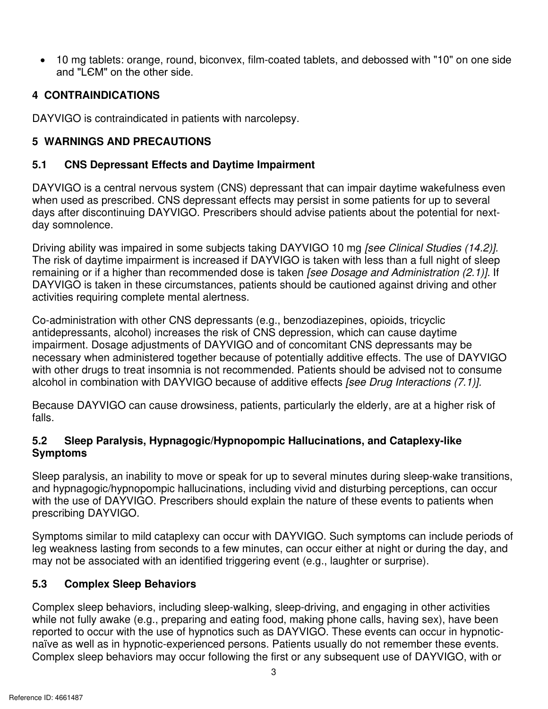zy<br>www.disrapon.<br>Conservation **zoodisf**: orange, round, biconvex, film-coated tablets, and debossed with "10" on one side on the other side. • 10 mg tablets: orange, round, biconvex, film-coated tablets, and debossed with "10" on one side and "LЄM" on the other side.

# **4 CONTRAINDICATIONS**

DAYVIGO is contraindicated in patients with narcolepsy.

# **5 WARNINGS AND PRECAUTIONS**

## **5.1 CNS Depressant Effects and Daytime Impairment**

 when used as prescribed. CNS depressant effects may persist in some patients for up to several DAYVIGO is a central nervous system (CNS) depressant that can impair daytime wakefulness even days after discontinuing DAYVIGO. Prescribers should advise patients about the potential for nextday somnolence.

Driving ability was impaired in some subjects taking DAYVIGO 10 mg *[see Clinical Studies (14.2)].*  The risk of daytime impairment is increased if DAYVIGO is taken with less than a full night of sleep remaining or if a higher than recommended dose is taken *[see Dosage and Administration (2.1)].* If DAYVIGO is taken in these circumstances, patients should be cautioned against driving and other activities requiring complete mental alertness.

ries, opioids, tricyclic<br> *zyxystyne*<br> *zyxystyne*<br> *zystyne*<br> *zystyne*<br> *zystyne*<br> *zystyne*<br> *zystyne*<br> *zystyne*<br> *zystyne*<br> *zystyne*<br> *zystyne*<br> *zystyne*<br> *zystyne*<br> *zystyne*<br> *zystyne*<br> *zystyne*<br> *zystyne*<br> *zyst* Co-administration with other CNS depressants (e.g., benzodiazepines, opioids, tricyclic antidepressants, alcohol) increases the risk of CNS depression, which can cause daytime impairment. Dosage adjustments of DAYVIGO and of concomitant CNS depressants may be necessary when administered together because of potentially additive effects. The use of DAYVIGO with other drugs to treat insomnia is not recommended*.* Patients should be advised not to consume alcohol in combination with DAYVIGO because of additive effects *[see Drug Interactions (7.1)].* 

Because DAYVIGO can cause drowsiness, patients, particularly the elderly, are at a higher risk of falls.

# **5.2 Sleep Paralysis, Hypnagogic/Hypnopompic Hallucinations, and Cataplexy-like Symptoms**

Sleep paralysis, an inability to move or speak for up to several minutes during sleep-wake transitions, and hypnagogic/hypnopompic hallucinations, including vivid and disturbing perceptions, can occur with the use of DAYVIGO. Prescribers should explain the nature of these events to patients when prescribing DAYVIGO.

 Symptoms similar to mild cataplexy can occur with DAYVIGO. Such symptoms can include periods of leg weakness lasting from seconds to a few minutes, can occur either at night or during the day, and may not be associated with an identified triggering event (e.g., laughter or surprise).

#### **5.3 Complex Sleep Behaviors**

**zieep-ariving, and engaging in other activities**<br>d, making phone calls, having sex), have been<br>DAYVIGO. These events can occur in hypnotic-<br>atients usually do not remember these events.<br>rst or any subsequent use of DAYVIG Complex sleep behaviors, including sleep-walking, sleep-driving, and engaging in other activities while not fully awake (e.g., preparing and eating food, making phone calls, having sex), have been reported to occur with the use of hypnotics such as DAYVIGO. These events can occur in hypnoticnaïve as well as in hypnotic-experienced persons. Patients usually do not remember these events. Complex sleep behaviors may occur following the first or any subsequent use of DAYVIGO, with or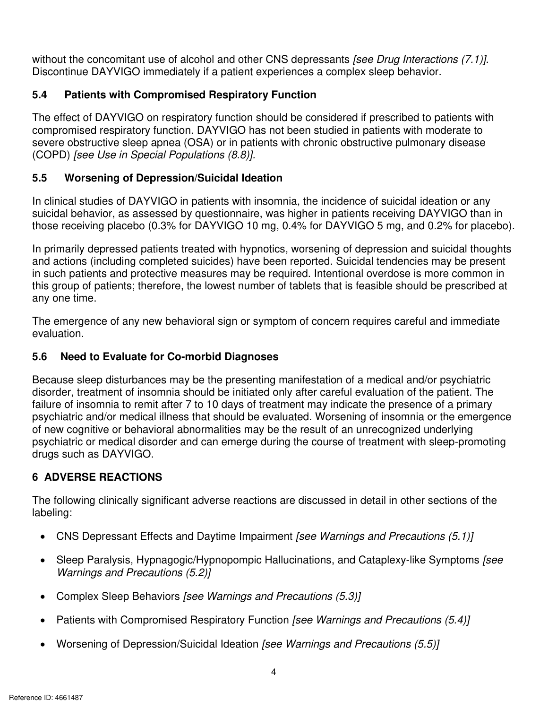$s(7.1)$ **zymuths** (7.1)]. without the concomitant use of alcohol and other CNS depressants *[see Drug Interactions (7.1)].*  Discontinue DAYVIGO immediately if a patient experiences a complex sleep behavior.

# **5.4 Patients with Compromised Respiratory Function**

The effect of DAYVIGO on respiratory function should be considered if prescribed to patients with compromised respiratory function. DAYVIGO has not been studied in patients with moderate to severe obstructive sleep apnea (OSA) or in patients with chronic obstructive pulmonary disease (COPD) *[see Use in Special Populations (8.8)].* 

# **5.5 Worsening of Depression/Suicidal Ideation**

 those receiving placebo (0.3% for DAYVIGO 10 mg, 0.4% for DAYVIGO 5 mg, and 0.2% for placebo). In clinical studies of DAYVIGO in patients with insomnia, the incidence of suicidal ideation or any suicidal behavior, as assessed by questionnaire, was higher in patients receiving DAYVIGO than in

In primarily depressed patients treated with hypnotics, worsening of depression and suicidal thoughts and actions (including completed suicides) have been reported. Suicidal tendencies may be present in such patients and protective measures may be required. Intentional overdose is more common in this group of patients; therefore, the lowest number of tablets that is feasible should be prescribed at any one time.

The emergence of any new behavioral sign or symptom of concern requires careful and immediate evaluation.

# **5.6 Need to Evaluate for Co-morbid Diagnoses**

 failure of insomnia to remit after 7 to 10 days of treatment may indicate the presence of a primary Because sleep disturbances may be the presenting manifestation of a medical and/or psychiatric disorder, treatment of insomnia should be initiated only after careful evaluation of the patient. The psychiatric and/or medical illness that should be evaluated. Worsening of insomnia or the emergence of new cognitive or behavioral abnormalities may be the result of an unrecognized underlying psychiatric or medical disorder and can emerge during the course of treatment with sleep-promoting drugs such as DAYVIGO.

# **6 ADVERSE REACTIONS**

The following clinically significant adverse reactions are discussed in detail in other sections of the labeling:

- CNS Depressant Effects and Daytime Impairment *[see Warnings and Precautions (5.1)]*
- Sleep Paralysis, Hypnagogic/Hypnopompic Hallucinations, and Cataplexy-like Symptoms *[see Warnings and Precautions (5.2)]*
- Complex Sleep Behaviors *[see Warnings and Precautions (5.3)]*
- **zympths on [see Warnings and Precautions (5.4)]<br>For Warnings and Precautions (5.5)]<br>Julies on Marnings and Precautions (5.5)]** • Patients with Compromised Respiratory Function *[see Warnings and Precautions (5.4)]*
- Worsening of Depression/Suicidal Ideation *[see Warnings and Precautions (5.5)]*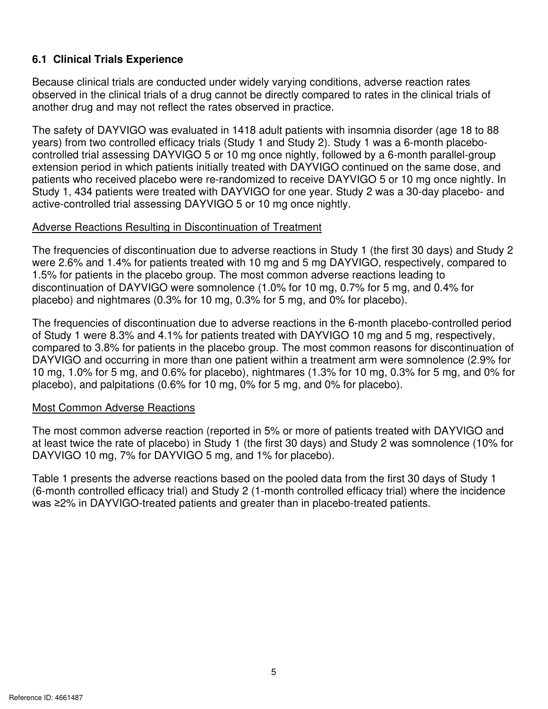# **6.1 Clinical Trials Experience**

 Because clinical trials are conducted under widely varying conditions, adverse reaction rates another drug and may not reflect the rates observed in practice. observed in the clinical trials of a drug cannot be directly compared to rates in the clinical trials of

 The safety of DAYVIGO was evaluated in 1418 adult patients with insomnia disorder (age 18 to 88 Study 1, 434 patients were treated with DAYVIGO for one year. Study 2 was a 30-day placebo- and active-controlled trial assessing DAYVIGO 5 or 10 mg once nightly. years) from two controlled efficacy trials (Study 1 and Study 2). Study 1 was a 6-month placebocontrolled trial assessing DAYVIGO 5 or 10 mg once nightly, followed by a 6-month parallel-group extension period in which patients initially treated with DAYVIGO continued on the same dose, and patients who received placebo were re-randomized to receive DAYVIGO 5 or 10 mg once nightly. In

#### Adverse Reactions Resulting in Discontinuation of Treatment

 were 2.6% and 1.4% for patients treated with 10 mg and 5 mg DAYVIGO, respectively, compared to The frequencies of discontinuation due to adverse reactions in Study 1 (the first 30 days) and Study 2 1.5% for patients in the placebo group. The most common adverse reactions leading to discontinuation of DAYVIGO were somnolence (1.0% for 10 mg, 0.7% for 5 mg, and 0.4% for placebo) and nightmares (0.3% for 10 mg, 0.3% for 5 mg, and 0% for placebo).

 of Study 1 were 8.3% and 4.1% for patients treated with DAYVIGO 10 mg and 5 mg, respectively, 10 mg, 1.0% for 5 mg, and 0.6% for placebo), nightmares (1.3% for 10 mg, 0.3% for 5 mg, and 0% for The frequencies of discontinuation due to adverse reactions in the 6-month placebo-controlled period compared to 3.8% for patients in the placebo group. The most common reasons for discontinuation of DAYVIGO and occurring in more than one patient within a treatment arm were somnolence (2.9% for placebo), and palpitations (0.6% for 10 mg, 0% for 5 mg, and 0% for placebo).

#### Most Common Adverse Reactions

 DAYVIGO 10 mg, 7% for DAYVIGO 5 mg, and 1% for placebo). The most common adverse reaction (reported in 5% or more of patients treated with DAYVIGO and at least twice the rate of placebo) in Study 1 (the first 30 days) and Study 2 was somnolence (10% for

Table 1 presents the adverse reactions based on the pooled data from the first 30 days of Study 1 (6-month controlled efficacy trial) and Study 2 (1-month controlled efficacy trial) where the incidence was ≥2% in DAYVIGO-treated patients and greater than in placebo-treated patients.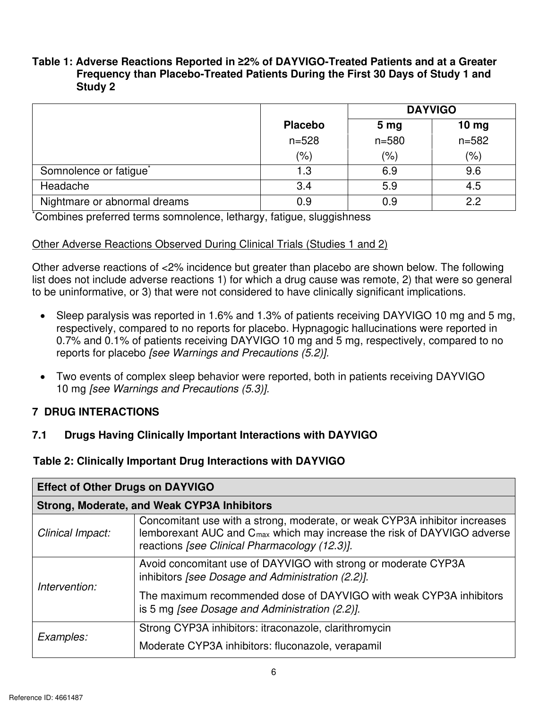# zy<br>Ponmierzy<br>Ponmierzy **Table 1: Adverse Reactions Reported in ≥2% of DAYVIGO-Treated Patients and at a Greater Frequency than Placebo-Treated Patients During the First 30 Days of Study 1 and Study 2**

|                                    |                | <b>DAYVIGO</b>  |                  |  |
|------------------------------------|----------------|-----------------|------------------|--|
|                                    | <b>Placebo</b> | 5 <sub>mg</sub> | 10 <sub>mg</sub> |  |
|                                    | $n = 528$      | $n = 580$       | $n = 582$        |  |
|                                    | $(\% )$        | $(\% )$         | (% )             |  |
| Somnolence or fatigue <sup>*</sup> | 1.3            | 6.9             | 9.6              |  |
| Headache                           | 3.4            | 5.9             | 4.5              |  |
| Nightmare or abnormal dreams       | 0.9            | 0.9             | 2.2              |  |

\*Combines preferred terms somnolence, lethargy, fatigue, sluggishness

# Other Adverse Reactions Observed During Clinical Trials (Studies 1 and 2)

 list does not include adverse reactions 1) for which a drug cause was remote, 2) that were so general Other adverse reactions of <2% incidence but greater than placebo are shown below. The following to be uninformative, or 3) that were not considered to have clinically significant implications.

- • Sleep paralysis was reported in 1.6% and 1.3% of patients receiving DAYVIGO 10 mg and 5 mg, reports for placebo *[see Warnings and Precautions (5.2)].* respectively, compared to no reports for placebo. Hypnagogic hallucinations were reported in 0.7% and 0.1% of patients receiving DAYVIGO 10 mg and 5 mg, respectively, compared to no
- Two events of complex sleep behavior were reported, both in patients receiving DAYVIGO 10 mg *[see Warnings and Precautions (5.3)].*

# **7 DRUG INTERACTIONS**

# **7.1 Drugs Having Clinically Important Interactions with DAYVIGO**

# **Table 2: Clinically Important Drug Interactions with DAYVIGO**

| Effect of Other Drugs on DAYVIGO |                                                                                                                                                                                                                    |
|----------------------------------|--------------------------------------------------------------------------------------------------------------------------------------------------------------------------------------------------------------------|
|                                  | Strong, Moderate, and Weak CYP3A Inhibitors                                                                                                                                                                        |
| Clinical Impact:                 | Concomitant use with a strong, moderate, or weak CYP3A inhibitor increases<br>lemborexant AUC and C <sub>max</sub> which may increase the risk of DAYVIGO adverse<br>reactions [see Clinical Pharmacology (12.3)]. |
| Intervention:                    | Avoid concomitant use of DAYVIGO with strong or moderate CYP3A<br>inhibitors [see Dosage and Administration (2.2)].                                                                                                |
|                                  | The maximum recommended dose of DAYVIGO with weak CYP3A inhibitors<br>$\vert$ is 5 mg [see Dosage and Administration (2.2)].                                                                                       |
| Examples:                        | Strong CYP3A inhibitors: itraconazole, clarithromycin                                                                                                                                                              |
|                                  | Moderate CYP3A inhibitors: fluconazole, verapamil                                                                                                                                                                  |
|                                  |                                                                                                                                                                                                                    |
| nce ID: 4661487                  |                                                                                                                                                                                                                    |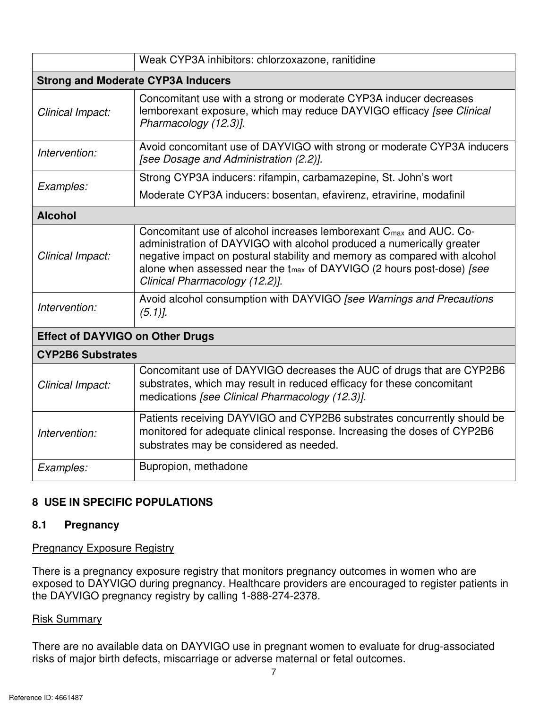|                          | Weak CYP3A inhibitors: chlorzoxazone, ranitidine                                                                                                                                                                                                                                                                                                                 |
|--------------------------|------------------------------------------------------------------------------------------------------------------------------------------------------------------------------------------------------------------------------------------------------------------------------------------------------------------------------------------------------------------|
|                          | Strong and Moderate CYP3A Inducers                                                                                                                                                                                                                                                                                                                               |
| Clinical Impact:         | $^{\dagger}$ Concomitant use with a strong or moderate CYP3A inducer decreases<br>emborexant exposure, which may reduce DAYVIGO efficacy [see Clinical<br>Pharmacology (12.3)].                                                                                                                                                                                  |
| Intervention:            | Avoid concomitant use of DAYVIGO with strong or moderate CYP3A inducers<br>[see Dosage and Administration (2.2)].                                                                                                                                                                                                                                                |
|                          | Strong CYP3A inducers: rifampin, carbamazepine, St. John's wort                                                                                                                                                                                                                                                                                                  |
| <i>Examples:</i>         | Moderate CYP3A inducers: bosentan, efavirenz, etravirine, modafinil                                                                                                                                                                                                                                                                                              |
| Alcohol                  |                                                                                                                                                                                                                                                                                                                                                                  |
| Clinical Impact:         | Concomitant use of alcohol increases lemborexant C <sub>max</sub> and AUC. Co-<br>$_1$ administration of DAYVIGO with alcohol produced a numerically greater<br>negative impact on postural stability and memory as compared with alcohol<br>alone when assessed near the t <sub>max</sub> of DAYVIGO (2 hours post-dose) [see<br>Clinical Pharmacology (12.2)]. |
| Intervention:            | Avoid alcohol consumption with DAYVIGO [see Warnings and Precautions                                                                                                                                                                                                                                                                                             |
|                          | <b>Effect of DAYVIGO on Other Drugs</b>                                                                                                                                                                                                                                                                                                                          |
| <b>CYP2B6 Substrates</b> |                                                                                                                                                                                                                                                                                                                                                                  |
| Clinical Impact:         | Concomitant use of DAYVIGO decreases the AUC of drugs that are CYP2B6<br>substrates, which may result in reduced efficacy for these concomitant<br>medications [see Clinical Pharmacology (12.3)].                                                                                                                                                               |
| Intervention:            | Patients receiving DAYVIGO and CYP2B6 substrates concurrently should be<br>monitored for adequate clinical response. Increasing the doses of CYP2B6<br>substrates may be considered as needed.                                                                                                                                                                   |
| Examples:                | <b>Bupropion, methadone</b>                                                                                                                                                                                                                                                                                                                                      |
|                          |                                                                                                                                                                                                                                                                                                                                                                  |

# **8 USE IN SPECIFIC POPULATIONS**

#### **8.1 Pregnancy**

#### Pregnancy Exposure Registry

 the DAYVIGO pregnancy registry by calling 1-888-274-2378. There is a pregnancy exposure registry that monitors pregnancy outcomes in women who are exposed to DAYVIGO during pregnancy. Healthcare providers are encouraged to register patients in

#### Risk Summary

**zymant women to evaluate for drug-associated**<br>maternal or fetal outcomes. There are no available data on DAYVIGO use in pregnant women to evaluate for drug-associated risks of major birth defects, miscarriage or adverse maternal or fetal outcomes.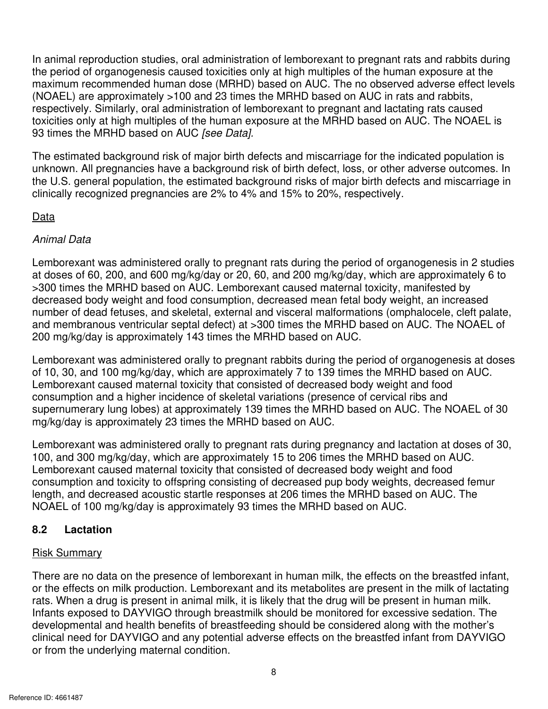zy<br>with different<br>and the different control In animal reproduction studies, oral administration of lemborexant to pregnant rats and rabbits during the period of organogenesis caused toxicities only at high multiples of the human exposure at the maximum recommended human dose (MRHD) based on AUC. The no observed adverse effect levels (NOAEL) are approximately >100 and 23 times the MRHD based on AUC in rats and rabbits, respectively. Similarly, oral administration of lemborexant to pregnant and lactating rats caused toxicities only at high multiples of the human exposure at the MRHD based on AUC. The NOAEL is 93 times the MRHD based on AUC *[see Data].* 

 clinically recognized pregnancies are 2% to 4% and 15% to 20%, respectively. The estimated background risk of major birth defects and miscarriage for the indicated population is unknown. All pregnancies have a background risk of birth defect, loss, or other adverse outcomes. In the U.S. general population, the estimated background risks of major birth defects and miscarriage in

# Data

# *Animal Data*

200 mg/kg/day is approximately 143 times the MRHD based on AUC. Lemborexant was administered orally to pregnant rats during the period of organogenesis in 2 studies at doses of 60, 200, and 600 mg/kg/day or 20, 60, and 200 mg/kg/day, which are approximately 6 to >300 times the MRHD based on AUC. Lemborexant caused maternal toxicity, manifested by decreased body weight and food consumption, decreased mean fetal body weight, an increased number of dead fetuses, and skeletal, external and visceral malformations (omphalocele, cleft palate, and membranous ventricular septal defect) at >300 times the MRHD based on AUC. The NOAEL of

Lemborexant was administered orally to pregnant rabbits during the period of organogenesis at doses of 10, 30, and 100 mg/kg/day, which are approximately 7 to 139 times the MRHD based on AUC. Lemborexant caused maternal toxicity that consisted of decreased body weight and food consumption and a higher incidence of skeletal variations (presence of cervical ribs and supernumerary lung lobes) at approximately 139 times the MRHD based on AUC. The NOAEL of 30 mg/kg/day is approximately 23 times the MRHD based on AUC.

mborexant was administered orally to pregnant rats during pregnancy and lactation at doses of 30, 0, and 300 mg/kg/day, which are approximately 15 to 206 times the MRHD based on AUC.<br>mborexant caused maternal toxicity that Lemborexant was administered orally to pregnant rats during pregnancy and lactation at doses of 30, 100, and 300 mg/kg/day, which are approximately 15 to 206 times the MRHD based on AUC. Lemborexant caused maternal toxicity that consisted of decreased body weight and food consumption and toxicity to offspring consisting of decreased pup body weights, decreased femur length, and decreased acoustic startle responses at 206 times the MRHD based on AUC. The NOAEL of 100 mg/kg/day is approximately 93 times the MRHD based on AUC.

# **8.2 Lactation**

# Risk Summary

pould be monitored for excessive sedation. The<br>should be considered along with the mother's<br>e effects on the breastfed infant from DAYVIGO There are no data on the presence of lemborexant in human milk, the effects on the breastfed infant, or the effects on milk production. Lemborexant and its metabolites are present in the milk of lactating rats. When a drug is present in animal milk, it is likely that the drug will be present in human milk. Infants exposed to DAYVIGO through breastmilk should be monitored for excessive sedation. The developmental and health benefits of breastfeeding should be considered along with the mother's clinical need for DAYVIGO and any potential adverse effects on the breastfed infant from DAYVIGO or from the underlying maternal condition.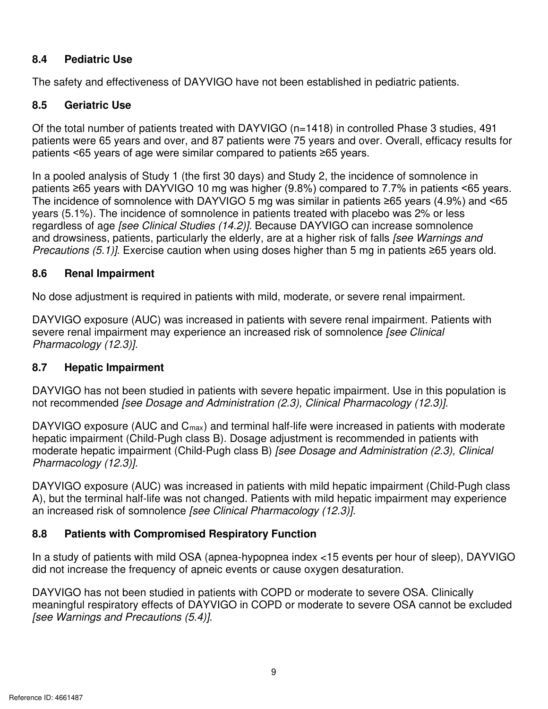#### **8.4 Pediatric Use**

The safety and effectiveness of DAYVIGO have not been established in pediatric patients.

#### **8.5 Geriatric Use**

 patients were 65 years and over, and 87 patients were 75 years and over. Overall, efficacy results for patients <65 years of age were similar compared to patients ≥65 years. Of the total number of patients treated with DAYVIGO (n=1418) in controlled Phase 3 studies, 491

 patients ≥65 years with DAYVIGO 10 mg was higher (9.8%) compared to 7.7% in patients <65 years. The incidence of somnolence with DAYVIGO 5 mg was similar in patients ≥65 years (4.9%) and <65 years (5.1%). The incidence of somnolence in patients treated with placebo was 2% or less *zyxykute incidence of somnolence in*<br>*z*%) compared to 7.7% in patients <65 years.<br>*z* similar in patients ≥65 years (4.9%) and <65<br>treated with placebo was 2% or less<br>*z* DAYVIGO can increase somnolence<br>a higher risk of In a pooled analysis of Study 1 (the first 30 days) and Study 2, the incidence of somnolence in regardless of age *[see Clinical Studies (14.2)].* Because DAYVIGO can increase somnolence and drowsiness, patients, particularly the elderly, are at a higher risk of falls *[see Warnings and Precautions (5.1)]*. Exercise caution when using doses higher than 5 mg in patients ≥65 years old.

#### **8.6 Renal Impairment**

No dose adjustment is required in patients with mild, moderate, or severe renal impairment.

DAYVIGO exposure (AUC) was increased in patients with severe renal impairment. Patients with severe renal impairment may experience an increased risk of somnolence *[see Clinical Pharmacology (12.3)].* 

#### **8.7 Hepatic Impairment**

 DAYVIGO has not been studied in patients with severe hepatic impairment. Use in this population is not recommended *[see Dosage and Administration (2.3), Clinical Pharmacology (12.3)].* 

 moderate hepatic impairment (Child-Pugh class B) *[see Dosage and Administration (2.3), Clinical Pharmacology (12.3)].* DAYVIGO exposure (AUC and C<sub>max</sub>) and terminal half-life were increased in patients with moderate hepatic impairment (Child-Pugh class B). Dosage adjustment is recommended in patients with

 A), but the terminal half-life was not changed. Patients with mild hepatic impairment may experience DAYVIGO exposure (AUC) was increased in patients with mild hepatic impairment (Child-Pugh class an increased risk of somnolence *[see Clinical Pharmacology (12.3)].* 

# **8.8 Patients with Compromised Respiratory Function**

 In a study of patients with mild OSA (apnea-hypopnea index <15 events per hour of sleep), DAYVIGO did not increase the frequency of apneic events or cause oxygen desaturation.

**zyxter Warnings and Precautions** (5.4)].<br>
See Warnings and Precautions (5.4)].<br>
9 meaningful respiratory effects of DAYVIGO in COPD or moderate to severe OSA cannot be excluded DAYVIGO has not been studied in patients with COPD or moderate to severe OSA. Clinically *[see Warnings and Precautions (5.4)]*.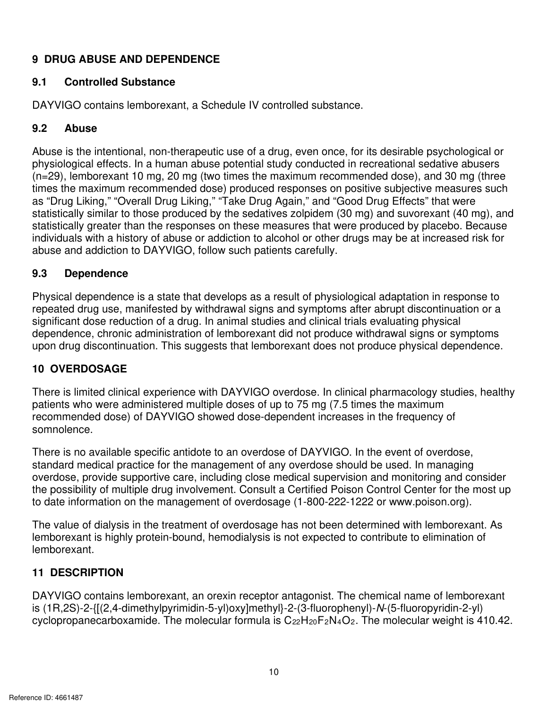# **9 DRUG ABUSE AND DEPENDENCE**

#### $9.1$ **9.1 Controlled Substance**

DAYVIGO contains lemborexant, a Schedule IV controlled substance.

#### $9.2$ **9.2 Abuse**

 as "Drug Liking," "Overall Drug Liking," "Take Drug Again," and "Good Drug Effects" that were Abuse is the intentional, non-therapeutic use of a drug, even once, for its desirable psychological or physiological effects. In a human abuse potential study conducted in recreational sedative abusers (n=29), lemborexant 10 mg, 20 mg (two times the maximum recommended dose), and 30 mg (three times the maximum recommended dose) produced responses on positive subjective measures such statistically similar to those produced by the sedatives zolpidem (30 mg) and suvorexant (40 mg), and statistically greater than the responses on these measures that were produced by placebo. Because individuals with a history of abuse or addiction to alcohol or other drugs may be at increased risk for abuse and addiction to DAYVIGO, follow such patients carefully.

#### **9.3 9.3 Dependence**

 upon drug discontinuation. This suggests that lemborexant does not produce physical dependence. Physical dependence is a state that develops as a result of physiological adaptation in response to repeated drug use, manifested by withdrawal signs and symptoms after abrupt discontinuation or a significant dose reduction of a drug. In animal studies and clinical trials evaluating physical dependence, chronic administration of lemborexant did not produce withdrawal signs or symptoms

# **10 OVERDOSAGE**

There is limited clinical experience with DAYVIGO overdose. In clinical pharmacology studies, healthy patients who were administered multiple doses of up to 75 mg (7.5 times the maximum recommended dose) of DAYVIGO showed dose-dependent increases in the frequency of somnolence.

There is no available specific antidote to an overdose of DAYVIGO. In the event of overdose, standard medical practice for the management of any overdose should be used. In managing overdose, provide supportive care, including close medical supervision and monitoring and consider the possibility of multiple drug involvement. Consult a Certified Poison Control Center for the most up to date information on the management of overdosage (1-800-222-1222 or www.poison.org).

The value of dialysis in the treatment of overdosage has not been determined with lemborexant. As lemborexant is highly protein-bound, hemodialysis is not expected to contribute to elimination of lemborexant.

# **11 DESCRIPTION**

**zyclopropanecarboxamide.** The molecular formula is C<sub>22</sub>H<sub>20</sub>F<sub>2</sub>N<sub>4</sub>O<sub>2</sub>. The molecular weight is 410.42.<br>byclopropanecarboxamide. The molecular formula is C<sub>22</sub>H<sub>20</sub>F<sub>2</sub>N<sub>4</sub>O<sub>2</sub>. The molecular weight is 410.42.<br>10 DAYVIGO contains lemborexant, an orexin receptor antagonist. The chemical name of lemborexant is (1R,2S)-2-{[(2,4-dimethylpyrimidin-5-yl)oxy]methyl}-2-(3-fluorophenyl)-*N*-(5-fluoropyridin-2-yl) cyclopropanecarboxamide. The molecular formula is  $C_{22}H_{20}F_2N_4O_2$ . The molecular weight is 410.42.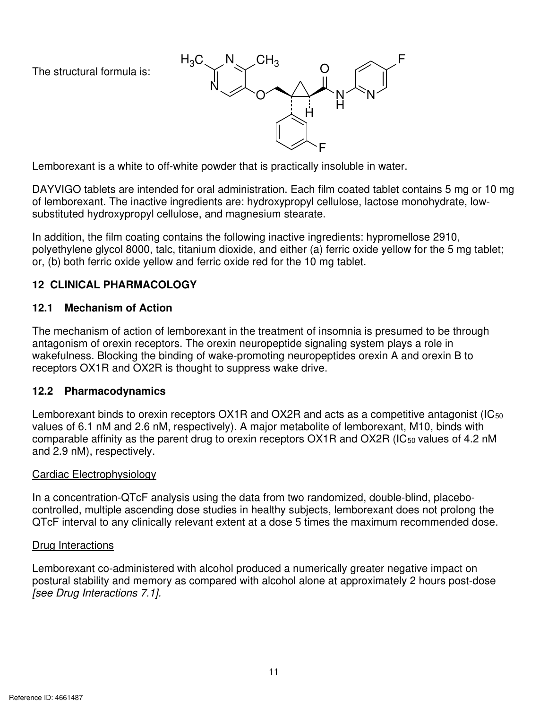The structural formula is:



Lemborexant is a white to off-white powder that is practically insoluble in water.

**z** Each film coated tablet contains 5 mg or 10 mg<br>propyl cellulose, lactose monohydrate, low-<br>stearate.<br>ctive ingredients: hypromellose 2910,<br>either (a) ferric oxide yellow for the 5 mg tablet;<br>the 10 mg tablet. DAYVIGO tablets are intended for oral administration. Each film coated tablet contains 5 mg or 10 mg of lemborexant. The inactive ingredients are: hydroxypropyl cellulose, lactose monohydrate, lowsubstituted hydroxypropyl cellulose, and magnesium stearate.

 polyethylene glycol 8000, talc, titanium dioxide, and either (a) ferric oxide yellow for the 5 mg tablet; In addition, the film coating contains the following inactive ingredients: hypromellose 2910, or, (b) both ferric oxide yellow and ferric oxide red for the 10 mg tablet.

# **12 CLINICAL PHARMACOLOGY**

#### $12.1$ **Mechanism of Action**

The mechanism of action of lemborexant in the treatment of insomnia is presumed to be through antagonism of orexin receptors. The orexin neuropeptide signaling system plays a role in wakefulness. Blocking the binding of wake-promoting neuropeptides orexin A and orexin B to receptors OX1R and OX2R is thought to suppress wake drive.

# **12.2 Pharmacodynamics**

 and 2.9 nM), respectively. Lemborexant binds to orexin receptors OX1R and OX2R and acts as a competitive antagonist (IC<sub>50</sub> values of 6.1 nM and 2.6 nM, respectively). A major metabolite of lemborexant, M10, binds with comparable affinity as the parent drug to orexin receptors OX1R and OX2R (IC<sub>50</sub> values of 4.2 nM

# Cardiac Electrophysiology

In a concentration-QTcF analysis using the data from two randomized, double-blind, placebocontrolled, multiple ascending dose studies in healthy subjects, lemborexant does not prolong the QTcF interval to any clinically relevant extent at a dose 5 times the maximum recommended dose.

# Drug Interactions

Lemborexant co-administered with alcohol produced a numerically greater negative impact on postural stability and memory as compared with alcohol alone at approximately 2 hours post-dose *[see Drug Interactions 7.1].*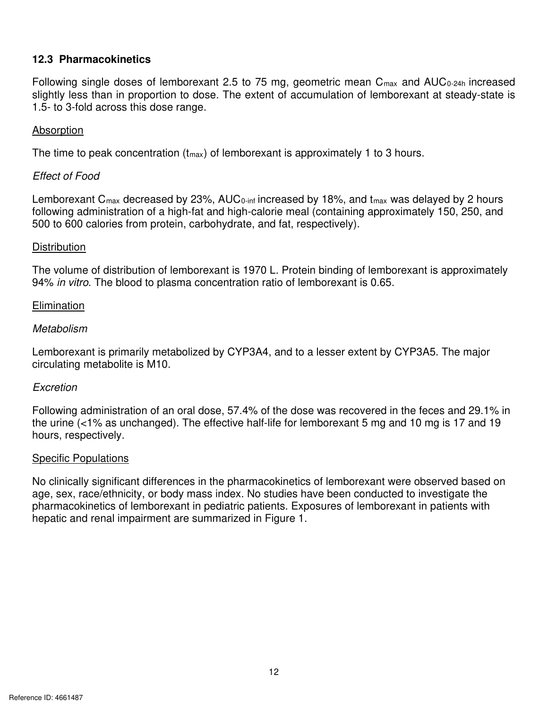## **12.3 Pharmacokinetics**

*ZWO*<sub>0-24h</sub> increased<br>*L* at steady-state is Following single doses of lemborexant 2.5 to 75 mg, geometric mean C<sub>max</sub> and AUC<sub>0-24h</sub> increased slightly less than in proportion to dose. The extent of accumulation of lemborexant at steady-state is 1.5- to 3-fold across this dose range.

#### **Absorption**

The time to peak concentration  $(t_{\text{max}})$  of lemborexant is approximately 1 to 3 hours.

#### *Effect of Food*

Lemborexant  $C_{\text{max}}$  decreased by 23%, AUC<sub>0-inf</sub> increased by 18%, and t<sub>max</sub> was delayed by 2 hours 500 to 600 calories from protein, carbohydrate, and fat, respectively). following administration of a high-fat and high-calorie meal (containing approximately 150, 250, and

#### **Distribution**

The volume of distribution of lemborexant is 1970 L. Protein binding of lemborexant is approximately 94% *in vitro*. The blood to plasma concentration ratio of lemborexant is 0.65.

#### **Elimination**

#### *Metabolism*

 Lemborexant is primarily metabolized by CYP3A4, and to a lesser extent by CYP3A5. The major circulating metabolite is M10.

#### *Excretion*

Following administration of an oral dose, 57.4% of the dose was recovered in the feces and 29.1% in the urine (<1% as unchanged). The effective half-life for lemborexant 5 mg and 10 mg is 17 and 19 hours, respectively.

#### Specific Populations

 hepatic and renal impairment are summarized in Figure 1. No clinically significant differences in the pharmacokinetics of lemborexant were observed based on age, sex, race/ethnicity, or body mass index. No studies have been conducted to investigate the pharmacokinetics of lemborexant in pediatric patients. Exposures of lemborexant in patients with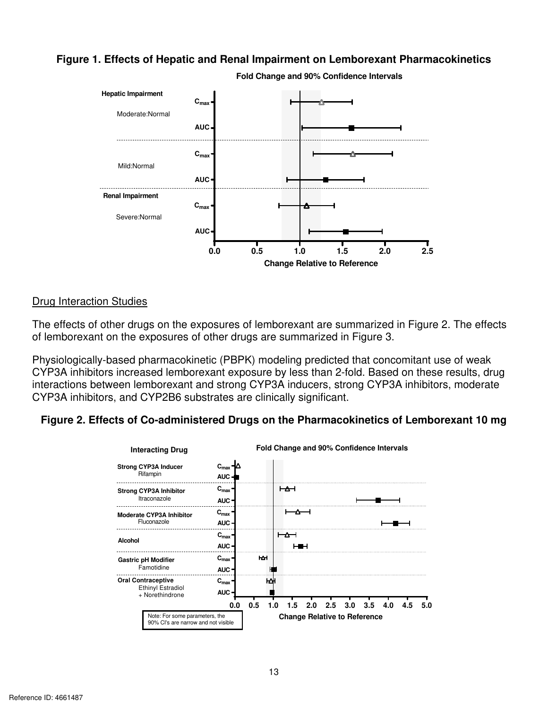# zy<br>Linetics<br>C **Figure 1. Effects of Hepatic and Renal Impairment on Lemborexant Pharmacokinetics**



**Fold Change and 90% Confidence Intervals** 

#### Drug Interaction Studies

The effects of other drugs on the exposures of lemborexant are summarized in Figure 2. The effects of lemborexant on the exposures of other drugs are summarized in Figure 3.

Physiologically-based pharmacokinetic (PBPK) modeling predicted that concomitant use of weak CYP3A inhibitors increased lemborexant exposure by less than 2-fold. Based on these results, drug interactions between lemborexant and strong CYP3A inducers, strong CYP3A inhibitors, moderate CYP3A inhibitors, and CYP2B6 substrates are clinically significant.

#### **Figure 2. Effects of Co-administered Drugs on the Pharmacokinetics of Lemborexant 10 mg**

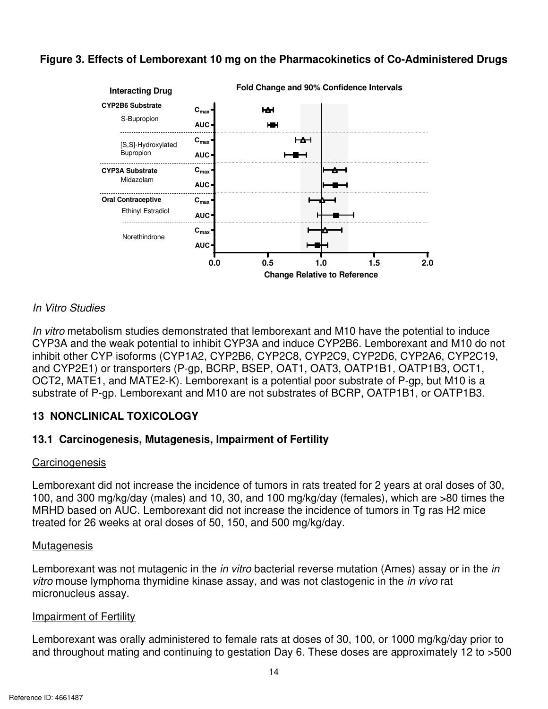# zy<br>Fred Drugs<br>Politica **Figure 3. Effects of Lemborexant 10 mg on the Pharmacokinetics of Co-Administered Drugs**



#### *In Vitro Studies*

 and CYP2E1) or transporters (P-gp, BCRP, BSEP, OAT1, OAT3, OATP1B1, OATP1B3, OCT1, OCT2, MATE1, and MATE2-K). Lemborexant is a potential poor substrate of P-gp, but M10 is a *In vitro* metabolism studies demonstrated that lemborexant and M10 have the potential to induce CYP3A and the weak potential to inhibit CYP3A and induce CYP2B6. Lemborexant and M10 do not inhibit other CYP isoforms (CYP1A2, CYP2B6, CYP2C8, CYP2C9, CYP2D6, CYP2A6, CYP2C19, substrate of P-gp. Lemborexant and M10 are not substrates of BCRP, OATP1B1, or OATP1B3.

#### **13 NONCLINICAL TOXICOLOGY**

#### **13.1 Carcinogenesis, Mutagenesis, Impairment of Fertility**

#### **Carcinogenesis**

 Lemborexant did not increase the incidence of tumors in rats treated for 2 years at oral doses of 30, 100, and 300 mg/kg/day (males) and 10, 30, and 100 mg/kg/day (females), which are >80 times the MRHD based on AUC. Lemborexant did not increase the incidence of tumors in Tg ras H2 mice treated for 26 weeks at oral doses of 50, 150, and 500 mg/kg/day.

#### **Mutagenesis**

Lemborexant was not mutagenic in the *in vitro* bacterial reverse mutation (Ames) assay or in the *in vitro* mouse lymphoma thymidine kinase assay, and was not clastogenic in the *in vivo* rat micronucleus assay.

#### Impairment of Fertility

**zympairment of Fertility**<br>**z**emborexant was orally administered to female rats at doses of 30, 100, or 1000 mg/kg/day prior to<br>and throughout mating and continuing to gestation Day 6. These doses are approximately 12 to > Lemborexant was orally administered to female rats at doses of 30, 100, or 1000 mg/kg/day prior to and throughout mating and continuing to gestation Day 6. These doses are approximately 12 to >500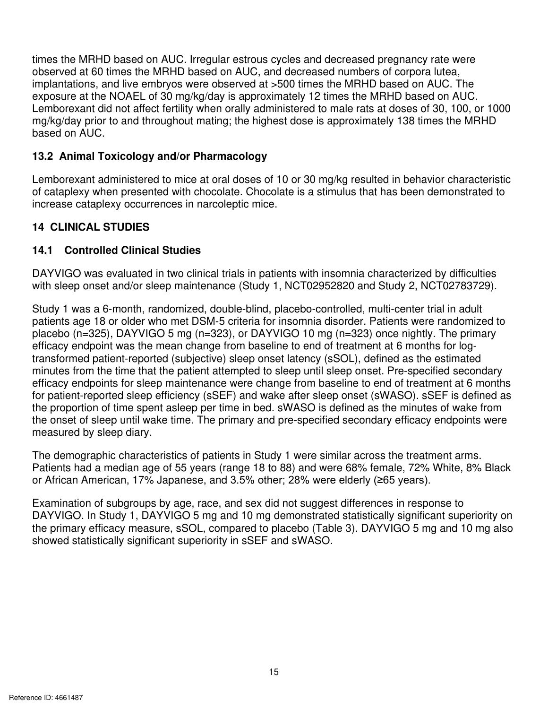zy<br>Were<br>Construction exposure at the NOAEL of 30 mg/kg/day is approximately 12 times the MRHD based on AUC. s the MRHD based on AUC. Irregular estrous cycles and decreased pregnancy rate were<br>erved at 60 times the MRHD based on AUC, and decreased numbers of corpora lutea,<br>antations, and live embryos were observed at >500 times t times the MRHD based on AUC. Irregular estrous cycles and decreased pregnancy rate were observed at 60 times the MRHD based on AUC, and decreased numbers of corpora lutea, implantations, and live embryos were observed at >500 times the MRHD based on AUC. The Lemborexant did not affect fertility when orally administered to male rats at doses of 30, 100, or 1000 mg/kg/day prior to and throughout mating; the highest dose is approximately 138 times the MRHD based on AUC.

# **13.2 Animal Toxicology and/or Pharmacology**

 Lemborexant administered to mice at oral doses of 10 or 30 mg/kg resulted in behavior characteristic of cataplexy when presented with chocolate. Chocolate is a stimulus that has been demonstrated to increase cataplexy occurrences in narcoleptic mice.

# **14 CLINICAL STUDIES**

# **14.1 Controlled Clinical Studies**

 with sleep onset and/or sleep maintenance (Study 1, NCT02952820 and Study 2, NCT02783729). DAYVIGO was evaluated in two clinical trials in patients with insomnia characterized by difficulties

 Study 1 was a 6-month, randomized, double-blind, placebo-controlled, multi-center trial in adult placebo (n=325), DAYVIGO 5 mg (n=323), or DAYVIGO 10 mg (n=323) once nightly. The primary minutes from the time that the patient attempted to sleep until sleep onset. Pre-specified secondary efficacy endpoints for sleep maintenance were change from baseline to end of treatment at 6 months the proportion of time spent asleep per time in bed. sWASO is defined as the minutes of wake from patients age 18 or older who met DSM-5 criteria for insomnia disorder. Patients were randomized to efficacy endpoint was the mean change from baseline to end of treatment at 6 months for logtransformed patient-reported (subjective) sleep onset latency (sSOL), defined as the estimated for patient-reported sleep efficiency (sSEF) and wake after sleep onset (sWASO). sSEF is defined as the onset of sleep until wake time. The primary and pre-specified secondary efficacy endpoints were measured by sleep diary.

 The demographic characteristics of patients in Study 1 were similar across the treatment arms. or African American, 17% Japanese, and 3.5% other; 28% were elderly (≥65 years). Patients had a median age of 55 years (range 18 to 88) and were 68% female, 72% White, 8% Black

 DAYVIGO. In Study 1, DAYVIGO 5 mg and 10 mg demonstrated statistically significant superiority on Examination of subgroups by age, race, and sex did not suggest differences in response to the primary efficacy measure, sSOL, compared to placebo (Table 3). DAYVIGO 5 mg and 10 mg also showed statistically significant superiority in sSEF and sWASO.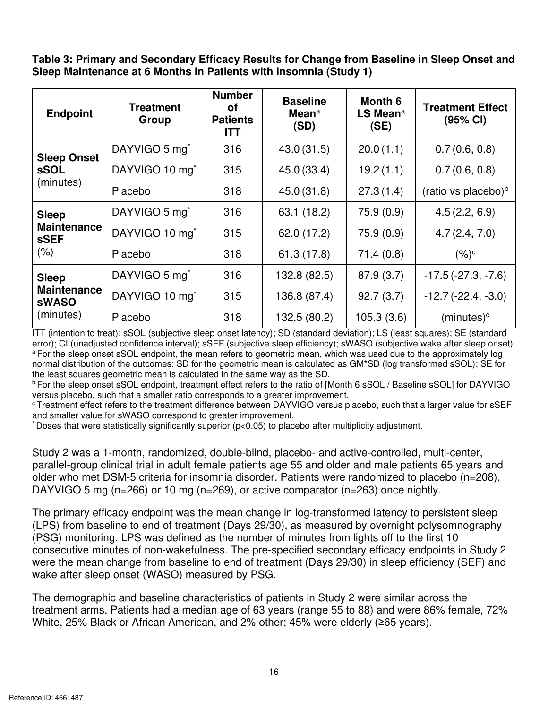zy<br>myster<br>political **Table 3: Primary and Secondary Efficacy Results for Change from Baseline in Sleep Onset and Sleep Maintenance at 6 Months in Patients with Insomnia (Study 1)** 

| <b>Endpoint</b>                    | <b>Treatment</b><br>Group  | <b>Number</b><br>οf<br><b>Patients</b><br><b>ITT</b> | <b>Baseline</b><br>Mean $a$<br>(SD) | Month 6<br>$LS$ Mean <sup>a</sup><br>(SE) | <b>Treatment Effect</b><br>(95% CI) |
|------------------------------------|----------------------------|------------------------------------------------------|-------------------------------------|-------------------------------------------|-------------------------------------|
| <b>Sleep Onset</b>                 | DAYVIGO 5 mg <sup>*</sup>  | 316                                                  | 43.0 (31.5)                         | 20.0(1.1)                                 | 0.7(0.6, 0.8)                       |
| <b>sSOL</b>                        | DAYVIGO 10 mg <sup>*</sup> | 315                                                  | 45.0 (33.4)                         | 19.2(1.1)                                 | 0.7(0.6, 0.8)                       |
| (minutes)                          | Placebo                    | 318                                                  | 45.0 (31.8)                         | 27.3(1.4)                                 | (ratio vs placebo) <sup>b</sup>     |
| <b>Sleep</b>                       | DAYVIGO 5 mg <sup>*</sup>  | 316                                                  | 63.1 (18.2)                         | 75.9(0.9)                                 | 4.5(2.2, 6.9)                       |
| <b>Maintenance</b><br><b>SSEF</b>  | DAYVIGO 10 mg <sup>*</sup> | 315                                                  | 62.0 (17.2)                         | 75.9(0.9)                                 | 4.7(2.4, 7.0)                       |
| (% )                               | Placebo                    | 318                                                  | 61.3 (17.8)                         | 71.4(0.8)                                 | $(%)^c$                             |
| <b>Sleep</b>                       | DAYVIGO 5 mg <sup>*</sup>  | 316                                                  | 132.8 (82.5)                        | 87.9(3.7)                                 | $-17.5(-27.3, -7.6)$                |
| <b>Maintenance</b><br><b>sWASO</b> | DAYVIGO 10 mg <sup>*</sup> | 315                                                  | 136.8 (87.4)                        | 92.7(3.7)                                 | $-12.7(-22.4, -3.0)$                |
| (minutes)                          | Placebo                    | 318                                                  | 132.5 (80.2)                        | 105.3(3.6)                                | $(minutes)^c$                       |

 ITT (intention to treat); sSOL (subjective sleep onset latency); SD (standard deviation); LS (least squares); SE (standard error); CI (unadjusted confidence interval); sSEF (subjective sleep efficiency); sWASO (subjective wake after sleep onset) <sup>a</sup> For the sleep onset sSOL endpoint, the mean refers to geometric mean, which was used due to the approximately log normal distribution of the outcomes; SD for the geometric mean is calculated as GM\*SD (log transformed sSOL); SE for the least squares geometric mean is calculated in the same way as the SD.

<sup>b</sup> For the sleep onset sSOL endpoint, treatment effect refers to the ratio of [Month 6 sSOL / Baseline sSOL] for DAYVIGO versus placebo, such that a smaller ratio corresponds to a greater improvement.

 $\textdegree$ Treatment effect refers to the treatment difference between DAYVIGO versus placebo, such that a larger value for sSEF and smaller value for sWASO correspond to greater improvement.

\* Doses that were statistically significantly superior (p<0.05) to placebo after multiplicity adjustment.

 Study 2 was a 1-month, randomized, double-blind, placebo- and active-controlled, multi-center, parallel-group clinical trial in adult female patients age 55 and older and male patients 65 years and older who met DSM-5 criteria for insomnia disorder. Patients were randomized to placebo (n=208), DAYVIGO 5 mg (n=266) or 10 mg (n=269), or active comparator (n=263) once nightly.

 (PSG) monitoring. LPS was defined as the number of minutes from lights off to the first 10 The primary efficacy endpoint was the mean change in log-transformed latency to persistent sleep (LPS) from baseline to end of treatment (Days 29/30), as measured by overnight polysomnography consecutive minutes of non-wakefulness. The pre-specified secondary efficacy endpoints in Study 2 were the mean change from baseline to end of treatment (Days 29/30) in sleep efficiency (SEF) and wake after sleep onset (WASO) measured by PSG.

**zyxtement arms. Patients had a median age of 63 years (range 55 to 88) and were 86% female, 72% White, 25% Black or African American, and 2% other; 45% were elderly (≥65 years).<br>16<br>ce ID: 4661487**  White, 25% Black or African American, and 2% other; 45% were elderly (≥65 years). The demographic and baseline characteristics of patients in Study 2 were similar across the treatment arms. Patients had a median age of 63 years (range 55 to 88) and were 86% female, 72%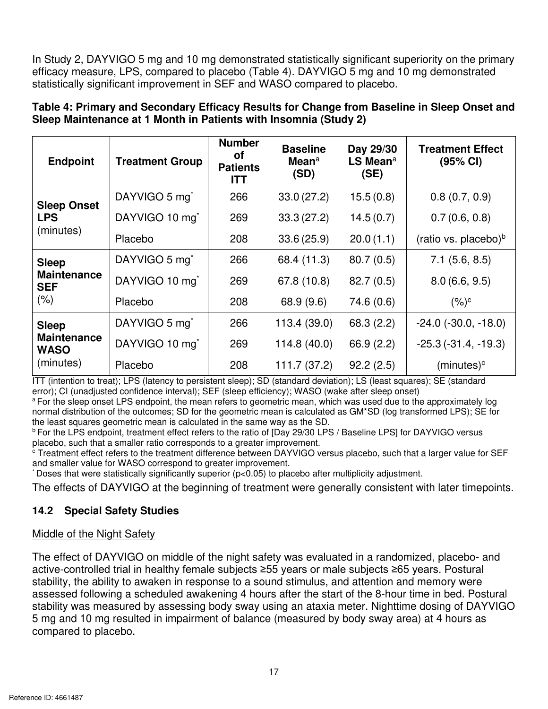$\alpha$  the primary In Study 2, DAYVIGO 5 mg and 10 mg demonstrated statistically significant superiority on the primary **zatistically significant superiority on the primary**<br>DAYVIGO 5 mg and 10 mg demonstrated<br>compared to placebo.<br>**r Change from Baseline in Sleep Onset and** efficacy measure, LPS, compared to placebo (Table 4). DAYVIGO 5 mg and 10 mg demonstrated statistically significant improvement in SEF and WASO compared to placebo.

| <b>Endpoint</b>                   | <b>Treatment Group</b>     | <b>Number</b><br>οf<br><b>Patients</b><br><b>ITT</b> | <b>Baseline</b><br>Mean $a$<br>(SD) | Day 29/30<br>LS Mean <sup>a</sup><br>(SE) | <b>Treatment Effect</b><br>(95% CI) |
|-----------------------------------|----------------------------|------------------------------------------------------|-------------------------------------|-------------------------------------------|-------------------------------------|
| <b>Sleep Onset</b>                | DAYVIGO 5 mg <sup>*</sup>  | 266                                                  | 33.0(27.2)                          | 15.5(0.8)                                 | 0.8(0.7, 0.9)                       |
| <b>LPS</b>                        | DAYVIGO 10 mg <sup>*</sup> | 269                                                  | 33.3(27.2)                          | 14.5(0.7)                                 | 0.7(0.6, 0.8)                       |
| (minutes)                         | Placebo                    | 208                                                  | 33.6(25.9)                          | 20.0(1.1)                                 | (ratio vs. placebo) $\rm^b$         |
| <b>Sleep</b>                      | DAYVIGO 5 mg <sup>*</sup>  | 266                                                  | 68.4 (11.3)                         | 80.7(0.5)                                 | $7.1$ (5.6, 8.5)                    |
| <b>Maintenance</b><br><b>SEF</b>  | DAYVIGO 10 mg <sup>*</sup> | 269                                                  | 67.8 (10.8)                         | 82.7(0.5)                                 | 8.0(6.6, 9.5)                       |
| (% )                              | Placebo                    | 208                                                  | 68.9 (9.6)                          | 74.6 (0.6)                                | $(%)^c$                             |
| <b>Sleep</b>                      | DAYVIGO 5 mg <sup>*</sup>  | 266                                                  | 113.4(39.0)                         | 68.3(2.2)                                 | $-24.0$ $(-30.0, -18.0)$            |
| <b>Maintenance</b><br><b>WASO</b> | DAYVIGO 10 mg <sup>*</sup> | 269                                                  | 114.8(40.0)                         | 66.9 (2.2)                                | $-25.3(-31.4, -19.3)$               |
| (minutes)                         | Placebo                    | 208                                                  | 111.7(37.2)                         | 92.2(2.5)                                 | $(minutes)^c$                       |

**Table 4: Primary and Secondary Efficacy Results for Change from Baseline in Sleep Onset and Sleep Maintenance at 1 Month in Patients with Insomnia (Study 2)** 

 ITT (intention to treat); LPS (latency to persistent sleep); SD (standard deviation); LS (least squares); SE (standard error); CI (unadjusted confidence interval); SEF (sleep efficiency); WASO (wake after sleep onset)

<sup>a</sup>For the sleep onset LPS endpoint, the mean refers to geometric mean, which was used due to the approximately log normal distribution of the outcomes; SD for the geometric mean is calculated as GM\*SD (log transformed LPS); SE for the least squares geometric mean is calculated in the same way as the SD.

<sup>b</sup> For the LPS endpoint, treatment effect refers to the ratio of [Day 29/30 LPS / Baseline LPS] for DAYVIGO versus placebo, such that a smaller ratio corresponds to a greater improvement.

 $\rm ^c$  Treatment effect refers to the treatment difference between DAYVIGO versus placebo, such that a larger value for SEF and smaller value for WASO correspond to greater improvement.

\* Doses that were statistically significantly superior (p<0.05) to placebo after multiplicity adjustment.

The effects of DAYVIGO at the beginning of treatment were generally consistent with later timepoints.

# **14.2 Special Safety Studies**

# Middle of the Night Safety

**zy an alaxia meter.** Nightlime dosing of DAT video<br>neasured by body sway area) at 4 hours as active-controlled trial in healthy female subjects ≥55 years or male subjects ≥65 years. Postural assessed following a scheduled awakening 4 hours after the start of the 8-hour time in bed. Postural 5 mg and 10 mg resulted in impairment of balance (measured by body sway area) at 4 hours as The effect of DAYVIGO on middle of the night safety was evaluated in a randomized, placebo- and stability, the ability to awaken in response to a sound stimulus, and attention and memory were stability was measured by assessing body sway using an ataxia meter. Nighttime dosing of DAYVIGO compared to placebo.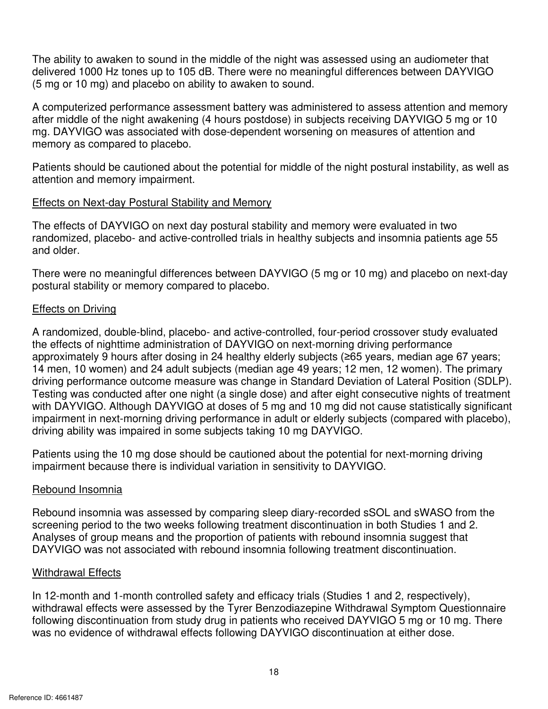$\vec{r}$  (5 mg or 10 mg) and placebo on ability to awaken to sound. The ability to awaken to sound in the middle of the night was assessed using an audiometer that delivered 1000 Hz tones up to 105 dB. There were no meaningful differences between DAYVIGO

 after middle of the night awakening (4 hours postdose) in subjects receiving DAYVIGO 5 mg or 10 A computerized performance assessment battery was administered to assess attention and memory mg. DAYVIGO was associated with dose-dependent worsening on measures of attention and memory as compared to placebo.

 attention and memory impairment. Patients should be cautioned about the potential for middle of the night postural instability, as well as

# Effects on Next-day Postural Stability and Memory

The effects of DAYVIGO on next day postural stability and memory were evaluated in two randomized, placebo- and active-controlled trials in healthy subjects and insomnia patients age 55 and older.

 There were no meaningful differences between DAYVIGO (5 mg or 10 mg) and placebo on next-day postural stability or memory compared to placebo.

# Effects on Driving

 approximately 9 hours after dosing in 24 healthy elderly subjects (≥65 years, median age 67 years; 14 men, 10 women) and 24 adult subjects (median age 49 years; 12 men, 12 women). The primary driving ability was impaired in some subjects taking 10 mg DAYVIGO. A randomized, double-blind, placebo- and active-controlled, four-period crossover study evaluated the effects of nighttime administration of DAYVIGO on next-morning driving performance driving performance outcome measure was change in Standard Deviation of Lateral Position (SDLP). Testing was conducted after one night (a single dose) and after eight consecutive nights of treatment with DAYVIGO. Although DAYVIGO at doses of 5 mg and 10 mg did not cause statistically significant impairment in next-morning driving performance in adult or elderly subjects (compared with placebo),

Patients using the 10 mg dose should be cautioned about the potential for next-morning driving impairment because there is individual variation in sensitivity to DAYVIGO.

# Rebound Insomnia

 DAYVIGO was not associated with rebound insomnia following treatment discontinuation. Rebound insomnia was assessed by comparing sleep diary-recorded sSOL and sWASO from the screening period to the two weeks following treatment discontinuation in both Studies 1 and 2. Analyses of group means and the proportion of patients with rebound insomnia suggest that

# Withdrawal Effects

podiazepine Withdrawal Symptom Questionnaire<br>who received DAYVIGO 5 mg or 10 mg. There<br>VIGO discontinuation at either dose. was no evidence of withdrawal effects following DAYVIGO discontinuation at either dose. In 12-month and 1-month controlled safety and efficacy trials (Studies 1 and 2, respectively), withdrawal effects were assessed by the Tyrer Benzodiazepine Withdrawal Symptom Questionnaire following discontinuation from study drug in patients who received DAYVIGO 5 mg or 10 mg. There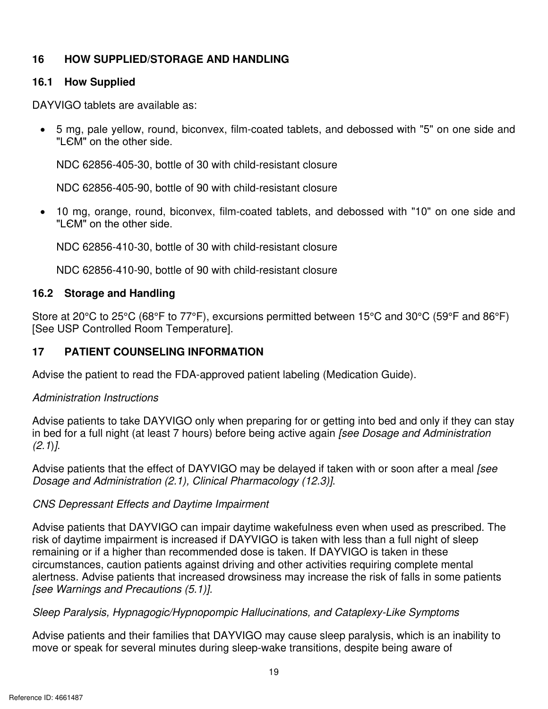# **16 HOW SUPPLIED/STORAGE AND HANDLING**

#### $16.1$ **16.1 How Supplied**

DAYVIGO tablets are available as:

 "LЄM" on the other side. • 5 mg, pale yellow, round, biconvex, film-coated tablets, and debossed with "5" on one side and

NDC 62856-405-30, bottle of 30 with child-resistant closure

NDC 62856-405-90, bottle of 90 with child-resistant closure

 "LЄM" on the other side. • 10 mg, orange, round, biconvex, film-coated tablets, and debossed with "10" on one side and

NDC 62856-410-30, bottle of 30 with child-resistant closure

NDC 62856-410-90, bottle of 90 with child-resistant closure

# **16.2 Storage and Handling**

*z*<sub>2</sub><sup>o</sup>C (59°F and 86°F)<br>*i*e). Store at 20°C to 25°C (68°F to 77°F), excursions permitted between 15°C and 30°C (59°F and 86°F) [See USP Controlled Room Temperature].

# **17 PATIENT COUNSELING INFORMATION**

Advise the patient to read the FDA-approved patient labeling (Medication Guide).

# *Administration Instructions*

Advise patients to take DAYVIGO only when preparing for or getting into bed and only if they can stay in bed for a full night (at least 7 hours) before being active again *[see Dosage and Administration (2.1*)*]*.

 Advise patients that the effect of DAYVIGO may be delayed if taken with or soon after a meal *[see Dosage and Administration (2.1), Clinical Pharmacology (12.3)]*.

# *CNS Depressant Effects and Daytime Impairment*

 alertness. Advise patients that increased drowsiness may increase the risk of falls in some patients Advise patients that DAYVIGO can impair daytime wakefulness even when used as prescribed. The risk of daytime impairment is increased if DAYVIGO is taken with less than a full night of sleep remaining or if a higher than recommended dose is taken. If DAYVIGO is taken in these circumstances, caution patients against driving and other activities requiring complete mental *[see Warnings and Precautions (5.1)].*

#### *Sleep Paralysis, Hypnagogic/Hypnopompic Hallucinations, and Cataplexy-Like Symptoms*

**zion and Sharest Paralysis, Hypnagogic/Hypnopompic Hallucinations, and Cataplexy-Like Symptoms**<br>Advise patients and their families that DAYVIGO may cause sleep paralysis, which is an inability to<br>move or speak for several Advise patients and their families that DAYVIGO may cause sleep paralysis, which is an inability to move or speak for several minutes during sleep-wake transitions, despite being aware of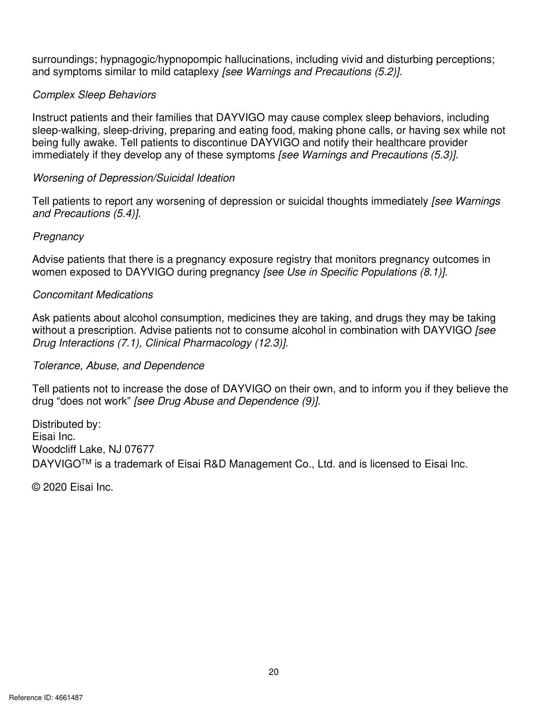zeptions:<br>Ceptions: *zyputhing perceptions* surroundings; hypnagogic/hypnopompic hallucinations, including vivid and disturbing perceptions; and symptoms similar to mild cataplexy *[see Warnings and Precautions (5.2)].* 

# *Complex Sleep Behaviors*

 Instruct patients and their families that DAYVIGO may cause complex sleep behaviors, including sleep-walking, sleep-driving, preparing and eating food, making phone calls, or having sex while not being fully awake. Tell patients to discontinue DAYVIGO and notify their healthcare provider immediately if they develop any of these symptoms *[see Warnings and Precautions (5.3)].* 

#### *Worsening of Depression/Suicidal Ideation*

 Tell patients to report any worsening of depression or suicidal thoughts immediately *[see Warnings and Precautions (5.4)]. Pregnancy* 

 Advise patients that there is a pregnancy exposure registry that monitors pregnancy outcomes in women exposed to DAYVIGO during pregnancy *[see Use in Specific Populations (8.1)].* 

#### *Concomitant Medications*

Ask patients about alcohol consumption, medicines they are taking, and drugs they may be taking without a prescription. Advise patients not to consume alcohol in combination with DAYVIGO *[see Drug Interactions (7.1), Clinical Pharmacology (12.3)].* 

# *Tolerance, Abuse, and Dependence*

 Tell patients not to increase the dose of DAYVIGO on their own, and to inform you if they believe the drug "does not work" *[see Drug Abuse and Dependence (9)].*

Distributed by: Eisai Inc. Woodcliff Lake, NJ 07677 DAYVIGO™ is a trademark of Eisai R&D Management Co., Ltd. and is licensed to Eisai Inc.

© 2020 Eisai Inc.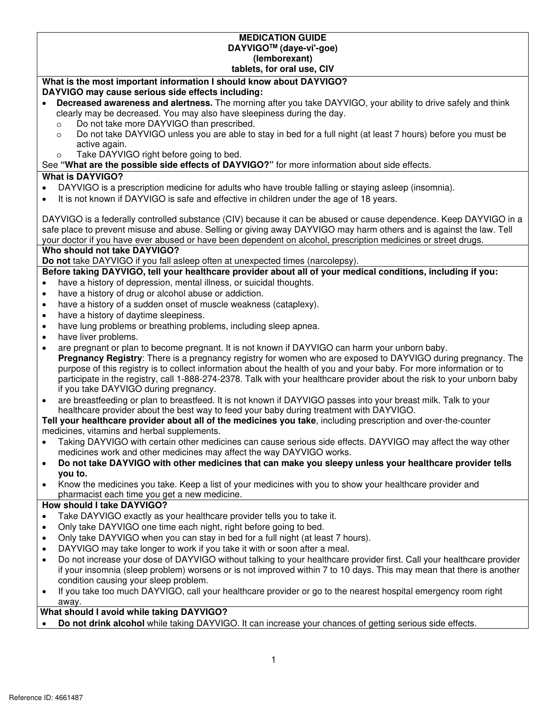|           | <b>MEDICATION GUIDE</b>                                                                                                                                                                                   |
|-----------|-----------------------------------------------------------------------------------------------------------------------------------------------------------------------------------------------------------|
|           | DAYVIGO™ (daye-vi'-goe)                                                                                                                                                                                   |
|           | (lemborexant)                                                                                                                                                                                             |
|           | tablets, for oral use, CIV                                                                                                                                                                                |
|           | What is the most important information I should know about DAYVIGO?                                                                                                                                       |
|           | DAYVIGO may cause serious side effects including:                                                                                                                                                         |
|           | Decreased awareness and alertness. The morning after you take DAYVIGO, your ability to drive safely and think                                                                                             |
|           | clearly may be decreased. You may also have sleepiness during the day.                                                                                                                                    |
|           | Do not take more DAYVIGO than prescribed.<br>$\circ$                                                                                                                                                      |
|           | Do not take DAYVIGO unless you are able to stay in bed for a full night (at least 7 hours) before you must be<br>$\circ$                                                                                  |
|           | active again.                                                                                                                                                                                             |
|           | Take DAYVIGO right before going to bed.<br>$\circ$<br>See "What are the possible side effects of DAYVIGO?" for more information about side effects.                                                       |
|           | <b>What is DAYVIGO?</b>                                                                                                                                                                                   |
|           |                                                                                                                                                                                                           |
|           | DAYVIGO is a prescription medicine for adults who have trouble falling or staying asleep (insomnia).                                                                                                      |
|           | It is not known if DAYVIGO is safe and effective in children under the age of 18 years.                                                                                                                   |
|           | DAYVIGO is a federally controlled substance (CIV) because it can be abused or cause dependence. Keep DAYVIGO in a                                                                                         |
|           | safe place to prevent misuse and abuse. Selling or giving away DAYVIGO may harm others and is against the law. Tell                                                                                       |
|           | your doctor if you have ever abused or have been dependent on alcohol, prescription medicines or street drugs.                                                                                            |
|           | Who should not take DAYVIGO?                                                                                                                                                                              |
|           | Do not take DAYVIGO if you fall asleep often at unexpected times (narcolepsy).                                                                                                                            |
|           | Before taking DAYVIGO, tell your healthcare provider about all of your medical conditions, including if you:                                                                                              |
| $\bullet$ | have a history of depression, mental illness, or suicidal thoughts.                                                                                                                                       |
| $\bullet$ | have a history of drug or alcohol abuse or addiction.                                                                                                                                                     |
| $\bullet$ | have a history of a sudden onset of muscle weakness (cataplexy).                                                                                                                                          |
| $\bullet$ | have a history of daytime sleepiness.                                                                                                                                                                     |
| $\bullet$ | have lung problems or breathing problems, including sleep apnea.                                                                                                                                          |
| $\bullet$ | have liver problems.                                                                                                                                                                                      |
| $\bullet$ | are pregnant or plan to become pregnant. It is not known if DAYVIGO can harm your unborn baby.                                                                                                            |
|           | Pregnancy Registry: There is a pregnancy registry for women who are exposed to DAYVIGO during pregnancy. The                                                                                              |
|           | purpose of this registry is to collect information about the health of you and your baby. For more information or to                                                                                      |
|           | participate in the registry, call 1-888-274-2378. Talk with your healthcare provider about the risk to your unborn baby                                                                                   |
|           | if you take DAYVIGO during pregnancy.                                                                                                                                                                     |
| $\bullet$ | are breastfeeding or plan to breastfeed. It is not known if DAYVIGO passes into your breast milk. Talk to your                                                                                            |
|           | healthcare provider about the best way to feed your baby during treatment with DAYVIGO.<br>Tell your healthcare provider about all of the medicines you take, including prescription and over-the-counter |
|           | medicines, vitamins and herbal supplements.                                                                                                                                                               |
|           | Taking DAYVIGO with certain other medicines can cause serious side effects. DAYVIGO may affect the way other                                                                                              |
|           | medicines work and other medicines may affect the way DAYVIGO works.                                                                                                                                      |
| $\bullet$ | Do not take DAYVIGO with other medicines that can make you sleepy unless your healthcare provider tells                                                                                                   |
|           | you to.                                                                                                                                                                                                   |
| $\bullet$ | Know the medicines you take. Keep a list of your medicines with you to show your healthcare provider and                                                                                                  |
|           | pharmacist each time you get a new medicine.                                                                                                                                                              |
|           | How should I take DAYVIGO?                                                                                                                                                                                |
|           | Take DAYVIGO exactly as your healthcare provider tells you to take it.                                                                                                                                    |
| $\bullet$ | Only take DAYVIGO one time each night, right before going to bed.                                                                                                                                         |
| $\bullet$ | Only take DAYVIGO when you can stay in bed for a full night (at least 7 hours).                                                                                                                           |
| $\bullet$ | DAYVIGO may take longer to work if you take it with or soon after a meal.                                                                                                                                 |
| $\bullet$ | Do not increase your dose of DAYVIGO without talking to your healthcare provider first. Call your healthcare provider                                                                                     |
|           | if your insomnia (sleep problem) worsens or is not improved within 7 to 10 days. This may mean that there is another                                                                                      |
|           | condition causing your sleep problem.                                                                                                                                                                     |
| $\bullet$ | If you take too much DAYVIGO, call your healthcare provider or go to the nearest hospital emergency room right                                                                                            |
|           | away.<br>atal culcilla del din a DAVVIOOO                                                                                                                                                                 |

**What should I avoid while taking DAYVIGO?** 

 • **Do not drink alcohol** while taking DAYVIGO. It can increase your chances of getting serious side effects.